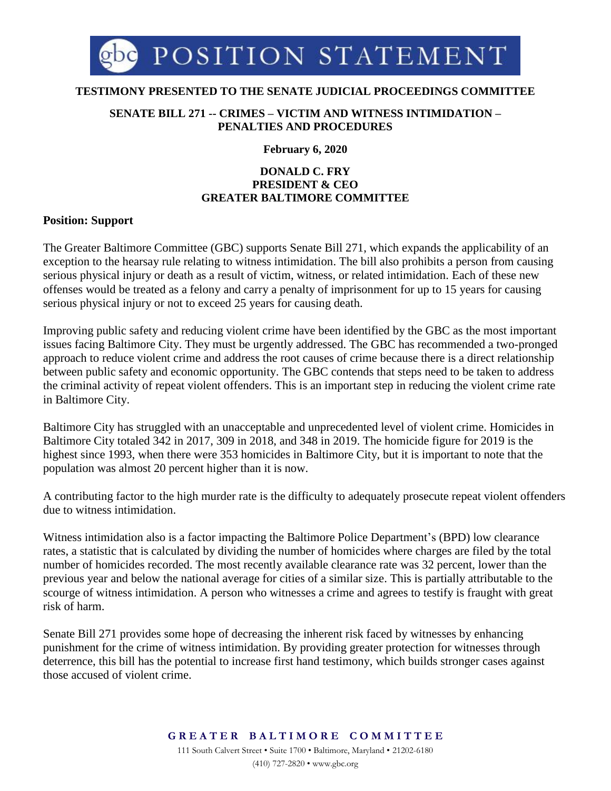

## **TESTIMONY PRESENTED TO THE SENATE JUDICIAL PROCEEDINGS COMMITTEE**

### **SENATE BILL 271 -- CRIMES – VICTIM AND WITNESS INTIMIDATION – PENALTIES AND PROCEDURES**

#### **February 6, 2020**

# **DONALD C. FRY PRESIDENT & CEO GREATER BALTIMORE COMMITTEE**

## **Position: Support**

The Greater Baltimore Committee (GBC) supports Senate Bill 271, which expands the applicability of an exception to the hearsay rule relating to witness intimidation. The bill also prohibits a person from causing serious physical injury or death as a result of victim, witness, or related intimidation. Each of these new offenses would be treated as a felony and carry a penalty of imprisonment for up to 15 years for causing serious physical injury or not to exceed 25 years for causing death.

Improving public safety and reducing violent crime have been identified by the GBC as the most important issues facing Baltimore City. They must be urgently addressed. The GBC has recommended a two-pronged approach to reduce violent crime and address the root causes of crime because there is a direct relationship between public safety and economic opportunity. The GBC contends that steps need to be taken to address the criminal activity of repeat violent offenders. This is an important step in reducing the violent crime rate in Baltimore City.

Baltimore City has struggled with an unacceptable and unprecedented level of violent crime. Homicides in Baltimore City totaled 342 in 2017, 309 in 2018, and 348 in 2019. The homicide figure for 2019 is the highest since 1993, when there were 353 homicides in Baltimore City, but it is important to note that the population was almost 20 percent higher than it is now.

A contributing factor to the high murder rate is the difficulty to adequately prosecute repeat violent offenders due to witness intimidation.

Witness intimidation also is a factor impacting the Baltimore Police Department's (BPD) low clearance rates, a statistic that is calculated by dividing the number of homicides where charges are filed by the total number of homicides recorded. The most recently available clearance rate was 32 percent, lower than the previous year and below the national average for cities of a similar size. This is partially attributable to the scourge of witness intimidation. A person who witnesses a crime and agrees to testify is fraught with great risk of harm.

Senate Bill 271 provides some hope of decreasing the inherent risk faced by witnesses by enhancing punishment for the crime of witness intimidation. By providing greater protection for witnesses through deterrence, this bill has the potential to increase first hand testimony, which builds stronger cases against those accused of violent crime.

> **G R E A T E R B A L T I M O R E C O M M I T T E E** 111 South Calvert Street • Suite 1700 • Baltimore, Maryland • 21202-6180 (410) 727-2820 • www.gbc.org